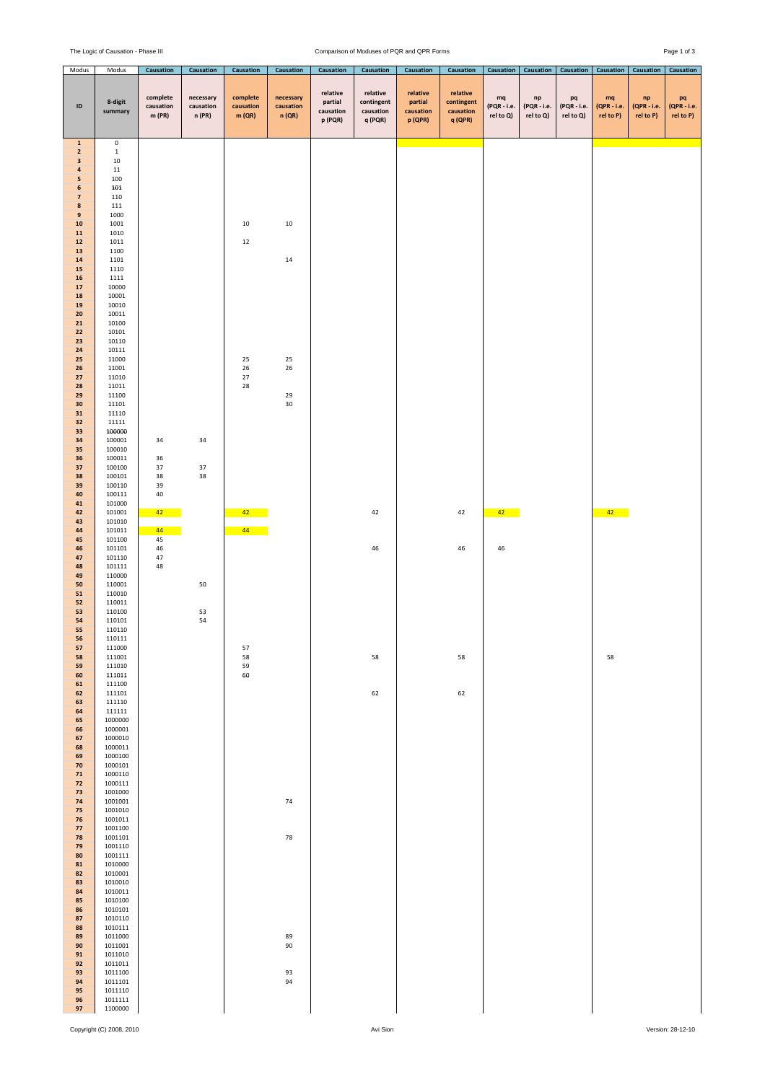## The Logic of Causation - Phase III Comparison of Moduses of PQR and QPR Forms Page 1 of 3

| Modus                                                                                                                                                                                                                                                                                                                                                                                                                                                                                                                                                                                                                                                                                                                                                                        | Modus                                                                                                                                                                                                                                                                                                                                                                                                                                                                                                                                                                                                                                                                                                                                                                                                                                                                                                                                                                        | Causation                                                                             | <b>Causation</b>                 | Causation                                                                    | Causation                                                                | Causation                                   | Causation                                      | Causation                                   | Causation                                      | <b>Causation</b>               | <b>Causation</b>                       | <b>Causation</b>               | <b>Causation</b>                        | <b>Causation</b>                       | Causation                      |
|------------------------------------------------------------------------------------------------------------------------------------------------------------------------------------------------------------------------------------------------------------------------------------------------------------------------------------------------------------------------------------------------------------------------------------------------------------------------------------------------------------------------------------------------------------------------------------------------------------------------------------------------------------------------------------------------------------------------------------------------------------------------------|------------------------------------------------------------------------------------------------------------------------------------------------------------------------------------------------------------------------------------------------------------------------------------------------------------------------------------------------------------------------------------------------------------------------------------------------------------------------------------------------------------------------------------------------------------------------------------------------------------------------------------------------------------------------------------------------------------------------------------------------------------------------------------------------------------------------------------------------------------------------------------------------------------------------------------------------------------------------------|---------------------------------------------------------------------------------------|----------------------------------|------------------------------------------------------------------------------|--------------------------------------------------------------------------|---------------------------------------------|------------------------------------------------|---------------------------------------------|------------------------------------------------|--------------------------------|----------------------------------------|--------------------------------|-----------------------------------------|----------------------------------------|--------------------------------|
| ID                                                                                                                                                                                                                                                                                                                                                                                                                                                                                                                                                                                                                                                                                                                                                                           | 8-digit<br>summary                                                                                                                                                                                                                                                                                                                                                                                                                                                                                                                                                                                                                                                                                                                                                                                                                                                                                                                                                           | complete<br>causation<br>m(PR)                                                        | necessary<br>causation<br>n (PR) | complete<br>causation<br>m(QR)                                               | necessary<br>causation<br>n(QR)                                          | relative<br>partial<br>causation<br>p (PQR) | relative<br>contingent<br>causation<br>q (PQR) | relative<br>partial<br>causation<br>p (QPR) | relative<br>contingent<br>causation<br>q (QPR) | mq<br>(PQR - i.e.<br>rel to Q) | ${\sf np}$<br>(PQR - i.e.<br>rel to Q) | pq<br>(PQR - i.e.<br>rel to Q) | $_{\rm mq}$<br>(QPR - i.e.<br>rel to P) | ${\sf np}$<br>(QPR - i.e.<br>rel to P) | pq<br>(QPR - i.e.<br>rel to P) |
| $\mathbf 1$<br>$\overline{\mathbf{2}}$<br>$\ensuremath{\mathsf{3}}$<br>$\pmb{4}$<br>5<br>$\bf 6$<br>$\overline{\mathbf{z}}$<br>$\pmb{8}$<br>$\boldsymbol{9}$<br>${\bf 10}$<br>${\bf 11}$<br>$12\,$<br>13<br>${\bf 14}$<br>15<br>16<br>${\bf 17}$<br>${\bf 18}$<br>19<br>20<br>21<br>22<br>23<br>${\bf 24}$<br>25<br>26<br>27<br>28<br>29<br>30<br>31<br>32<br>33<br>34<br>35<br>36<br>37<br>38<br>39<br>40<br>41<br>42<br>43<br>44<br>45<br>46<br>47<br>48<br>49<br>50<br>${\bf 51}$<br>${\bf 52}$<br>53<br>54<br>55<br>56<br>57<br>58<br>59<br>60<br>61<br>62<br>63<br>64<br>65<br>66<br>67<br>68<br>69<br>70<br>${\bf 71}$<br>72<br>73<br>74<br>75<br>76<br>77<br>78<br>79<br>80<br>81<br>82<br>83<br>84<br>85<br>86<br>87<br>88<br>89<br>90<br>91<br>92<br>93<br>94<br>95 | $\mathbf 0$<br>$\mathbf{1}$<br>10<br>$11\,$<br>100<br>101<br>110<br>111<br>1000<br>1001<br>1010<br>1011<br>1100<br>1101<br>1110<br>1111<br>10000<br>10001<br>10010<br>10011<br>10100<br>10101<br>10110<br>10111<br>11000<br>11001<br>11010<br>11011<br>11100<br>11101<br>11110<br>11111<br>100000<br>100001<br>100010<br>100011<br>100100<br>100101<br>100110<br>100111<br>101000<br>101001<br>101010<br>101011<br>101100<br>101101<br>101110<br>101111<br>110000<br>110001<br>110010<br>110011<br>110100<br>110101<br>110110<br>110111<br>111000<br>111001<br>111010<br>111011<br>111100<br>111101<br>111110<br>111111<br>1000000<br>1000001<br>1000010<br>1000011<br>1000100<br>1000101<br>1000110<br>1000111<br>1001000<br>1001001<br>1001010<br>1001011<br>1001100<br>1001101<br>1001110<br>1001111<br>1010000<br>1010001<br>1010010<br>1010011<br>1010100<br>1010101<br>1010110<br>1010111<br>1011000<br>1011001<br>1011010<br>1011011<br>1011100<br>1011101<br>1011110 | 34<br>36<br>37<br>38<br>39<br>$40\,$<br>42 <sub>2</sub><br>44<br>45<br>46<br>47<br>48 | 34<br>37<br>38<br>50<br>53<br>54 | 10<br>12<br>25<br>26<br>27<br>28<br>$42 -$<br>$44 -$<br>57<br>58<br>59<br>60 | 10<br>$14\,$<br>25<br>26<br>29<br>30<br>74<br>78<br>89<br>90<br>93<br>94 |                                             | 42<br>$46\,$<br>58<br>62                       |                                             | 42<br>46<br>58<br>62                           | $42 -$<br>46                   |                                        |                                | $42 -$<br>58                            |                                        |                                |
| 96<br>97                                                                                                                                                                                                                                                                                                                                                                                                                                                                                                                                                                                                                                                                                                                                                                     | 1011111<br>1100000                                                                                                                                                                                                                                                                                                                                                                                                                                                                                                                                                                                                                                                                                                                                                                                                                                                                                                                                                           |                                                                                       |                                  |                                                                              |                                                                          |                                             |                                                |                                             |                                                |                                |                                        |                                |                                         |                                        |                                |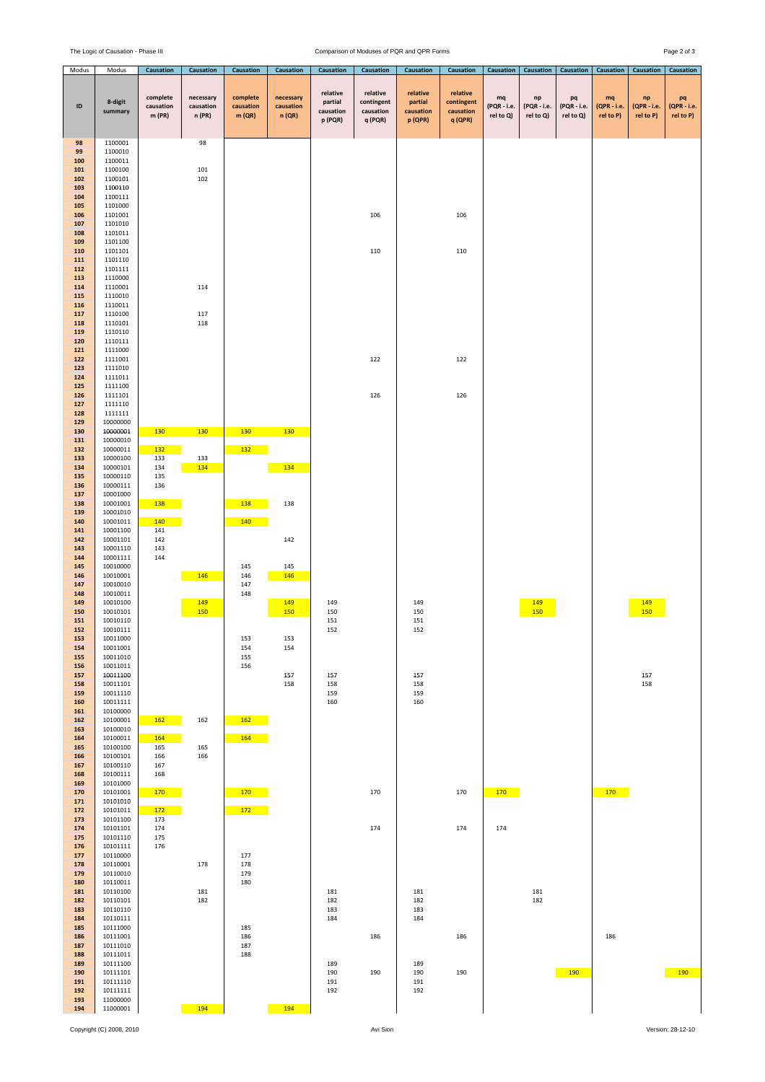## The Logic of Causation - Phase III Comparison of Moduses of PQR and QPR Forms Page 2 of 3

| Modus                                                                          | Modus                                                                                                                            | Causation                       | Causation                        | Causation                      | Causation                        | Causation                                   | Causation                                      | Causation                                   | Causation                                      | Causation                      | Causation                      | Causation                      | Causation                      | Causation                      | Causation                      |
|--------------------------------------------------------------------------------|----------------------------------------------------------------------------------------------------------------------------------|---------------------------------|----------------------------------|--------------------------------|----------------------------------|---------------------------------------------|------------------------------------------------|---------------------------------------------|------------------------------------------------|--------------------------------|--------------------------------|--------------------------------|--------------------------------|--------------------------------|--------------------------------|
| ID                                                                             | 8-digit<br>summary                                                                                                               | complete<br>causation<br>m (PR) | necessary<br>causation<br>n (PR) | complete<br>causation<br>m(QR) | necessary<br>causation<br>n (QR) | relative<br>partial<br>causation<br>p (PQR) | relative<br>contingent<br>causation<br>q (PQR) | relative<br>partial<br>causation<br>p (QPR) | relative<br>contingent<br>causation<br>q (QPR) | mq<br>(PQR - i.e.<br>rel to Q) | np<br>(PQR - i.e.<br>rel to Q) | pq<br>(PQR - i.e.<br>rel to Q) | mq<br>(QPR - i.e.<br>rel to P) | np<br>(QPR - i.e.<br>rel to P) | pq<br>(QPR - i.e.<br>rel to P) |
| 98<br>99<br>100<br>101<br>102<br>103<br>104<br>105<br>106<br>107<br>108<br>109 | 1100001<br>1100010<br>1100011<br>1100100<br>1100101<br>1100110<br>1100111<br>1101000<br>1101001<br>1101010<br>1101011<br>1101100 |                                 | 98<br>101<br>102                 |                                |                                  |                                             | 106                                            |                                             | 106                                            |                                |                                |                                |                                |                                |                                |
| 110<br>111<br>112<br>113<br>114<br>115<br>116<br>117<br>118<br>119<br>120      | 1101101<br>1101110<br>1101111<br>1110000<br>1110001<br>1110010<br>1110011<br>1110100<br>1110101<br>1110110<br>1110111            |                                 | 114<br>117<br>118                |                                |                                  |                                             | 110                                            |                                             | 110                                            |                                |                                |                                |                                |                                |                                |
| 121<br>122<br>123<br>124                                                       | 1111000<br>1111001<br>1111010<br>1111011                                                                                         |                                 |                                  |                                |                                  |                                             | 122                                            |                                             | 122                                            |                                |                                |                                |                                |                                |                                |
| 125<br>126<br>127<br>128<br>129<br>130                                         | 1111100<br>1111101<br>1111110<br>1111111<br>10000000<br>10000001                                                                 | 130                             | 130                              | 130                            | 130                              |                                             | 126                                            |                                             | 126                                            |                                |                                |                                |                                |                                |                                |
| 131<br>132<br>133<br>134<br>135                                                | 10000010<br>10000011<br>10000100<br>10000101<br>10000110                                                                         | <b>132</b><br>133<br>134<br>135 | 133<br>134                       | <b>132</b>                     | 134                              |                                             |                                                |                                             |                                                |                                |                                |                                |                                |                                |                                |
| 136<br>137<br>138<br>139<br>140<br>141<br>142                                  | 10000111<br>10001000<br>10001001<br>10001010<br>10001011<br>10001100<br>10001101                                                 | 136<br>138<br>140<br>141<br>142 |                                  | <b>138</b><br>140              | 138<br>142                       |                                             |                                                |                                             |                                                |                                |                                |                                |                                |                                |                                |
| 143<br>144<br>145<br>146<br>147<br>148                                         | 10001110<br>10001111<br>10010000<br>10010001<br>10010010<br>10010011                                                             | 143<br>144                      | 146                              | 145<br>146<br>147<br>148       | 145<br>146                       |                                             |                                                |                                             |                                                |                                |                                |                                |                                |                                |                                |
| 149<br>150<br>151<br>152<br>153<br>154                                         | 10010100<br>10010101<br>10010110<br>10010111<br>10011000<br>10011001                                                             |                                 | 149<br>150                       | 153<br>154                     | 149<br>150<br>153<br>154         | 149<br>150<br>151<br>152                    |                                                | 149<br>150<br>151<br>152                    |                                                |                                | 149<br>150                     |                                |                                | 149<br>150                     |                                |
| 155<br>156<br>157<br>158<br>159<br>160                                         | 10011010<br>10011011<br>10011100<br>10011101<br>10011110<br>10011111                                                             |                                 |                                  | 155<br>156                     | 157<br>158                       | 157<br>158<br>159<br>160                    |                                                | 157<br>158<br>159<br>160                    |                                                |                                |                                |                                |                                | 157<br>158                     |                                |
| 161<br>162<br>163<br>164<br>165<br>166                                         | 10100000<br>10100001<br>10100010<br>10100011<br>10100100<br>10100101                                                             | 162<br>164<br>165<br>166        | 162<br>165<br>166                | 162<br>164                     |                                  |                                             |                                                |                                             |                                                |                                |                                |                                |                                |                                |                                |
| 167<br>168<br>169<br>170<br>171                                                | 10100110<br>10100111<br>10101000<br>10101001<br>10101010                                                                         | 167<br>168<br>170               |                                  | 170                            |                                  |                                             | 170                                            |                                             | 170                                            | 170                            |                                |                                | 170                            |                                |                                |
| 172<br>173<br>174<br>175<br>176<br>177                                         | 10101011<br>10101100<br>10101101<br>10101110<br>10101111<br>10110000                                                             | 172<br>173<br>174<br>175<br>176 |                                  | 172<br>177                     |                                  |                                             | 174                                            |                                             | 174                                            | 174                            |                                |                                |                                |                                |                                |
| 178<br>179<br>180<br>181<br>182<br>183                                         | 10110001<br>10110010<br>10110011<br>10110100<br>10110101<br>10110110                                                             |                                 | 178<br>181<br>182                | 178<br>179<br>180              |                                  | 181<br>182<br>183                           |                                                | 181<br>182<br>183                           |                                                |                                | 181<br>182                     |                                |                                |                                |                                |
| 184<br>185<br>186<br>187<br>188<br>189                                         | 10110111<br>10111000<br>10111001<br>10111010<br>10111011<br>10111100                                                             |                                 |                                  | 185<br>186<br>187<br>188       |                                  | 184<br>189                                  | 186                                            | 184<br>189                                  | 186                                            |                                |                                |                                | 186                            |                                |                                |
| 190<br>191<br>192<br>193<br>194                                                | 10111101<br>10111110<br>10111111<br>11000000<br>11000001                                                                         |                                 | 194                              |                                | 194                              | 190<br>191<br>192                           | 190                                            | 190<br>191<br>192                           | 190                                            |                                |                                | 190                            |                                |                                | $-190$                         |